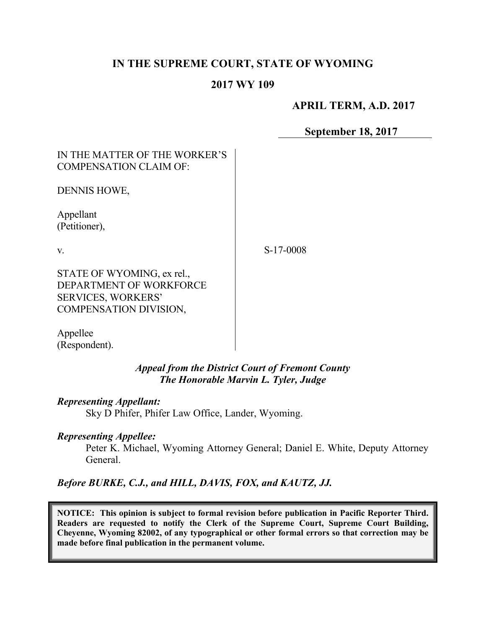# **IN THE SUPREME COURT, STATE OF WYOMING**

### **2017 WY 109**

### **APRIL TERM, A.D. 2017**

**September 18, 2017**

## IN THE MATTER OF THE WORKER'S COMPENSATION CLAIM OF:

DENNIS HOWE,

Appellant (Petitioner),

v.

S-17-0008

STATE OF WYOMING, ex rel., DEPARTMENT OF WORKFORCE SERVICES, WORKERS' COMPENSATION DIVISION,

Appellee (Respondent).

> *Appeal from the District Court of Fremont County The Honorable Marvin L. Tyler, Judge*

#### *Representing Appellant:*

Sky D Phifer, Phifer Law Office, Lander, Wyoming.

#### *Representing Appellee:*

Peter K. Michael, Wyoming Attorney General; Daniel E. White, Deputy Attorney General.

*Before BURKE, C.J., and HILL, DAVIS, FOX, and KAUTZ, JJ.*

**NOTICE: This opinion is subject to formal revision before publication in Pacific Reporter Third. Readers are requested to notify the Clerk of the Supreme Court, Supreme Court Building, Cheyenne, Wyoming 82002, of any typographical or other formal errors so that correction may be made before final publication in the permanent volume.**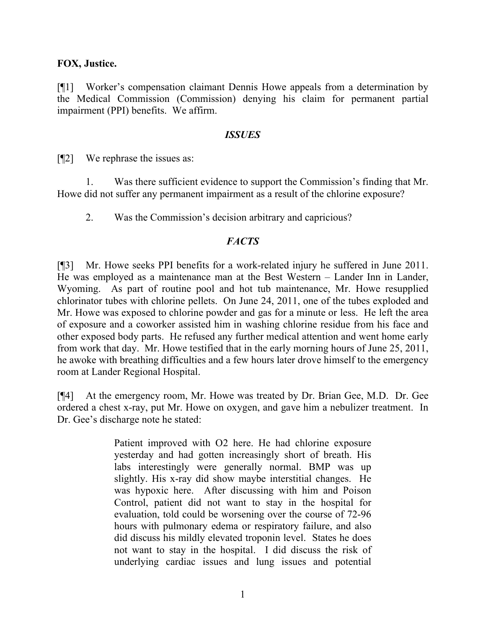### **FOX, Justice.**

[¶1] Worker's compensation claimant Dennis Howe appeals from a determination by the Medical Commission (Commission) denying his claim for permanent partial impairment (PPI) benefits. We affirm.

#### *ISSUES*

[¶2] We rephrase the issues as:

1. Was there sufficient evidence to support the Commission's finding that Mr. Howe did not suffer any permanent impairment as a result of the chlorine exposure?

2. Was the Commission's decision arbitrary and capricious?

## *FACTS*

[¶3] Mr. Howe seeks PPI benefits for a work-related injury he suffered in June 2011. He was employed as a maintenance man at the Best Western – Lander Inn in Lander, Wyoming. As part of routine pool and hot tub maintenance, Mr. Howe resupplied chlorinator tubes with chlorine pellets. On June 24, 2011, one of the tubes exploded and Mr. Howe was exposed to chlorine powder and gas for a minute or less. He left the area of exposure and a coworker assisted him in washing chlorine residue from his face and other exposed body parts. He refused any further medical attention and went home early from work that day. Mr. Howe testified that in the early morning hours of June 25, 2011, he awoke with breathing difficulties and a few hours later drove himself to the emergency room at Lander Regional Hospital.

[¶4] At the emergency room, Mr. Howe was treated by Dr. Brian Gee, M.D. Dr. Gee ordered a chest x-ray, put Mr. Howe on oxygen, and gave him a nebulizer treatment. In Dr. Gee's discharge note he stated:

> Patient improved with O2 here. He had chlorine exposure yesterday and had gotten increasingly short of breath. His labs interestingly were generally normal. BMP was up slightly. His x-ray did show maybe interstitial changes. He was hypoxic here. After discussing with him and Poison Control, patient did not want to stay in the hospital for evaluation, told could be worsening over the course of 72-96 hours with pulmonary edema or respiratory failure, and also did discuss his mildly elevated troponin level. States he does not want to stay in the hospital. I did discuss the risk of underlying cardiac issues and lung issues and potential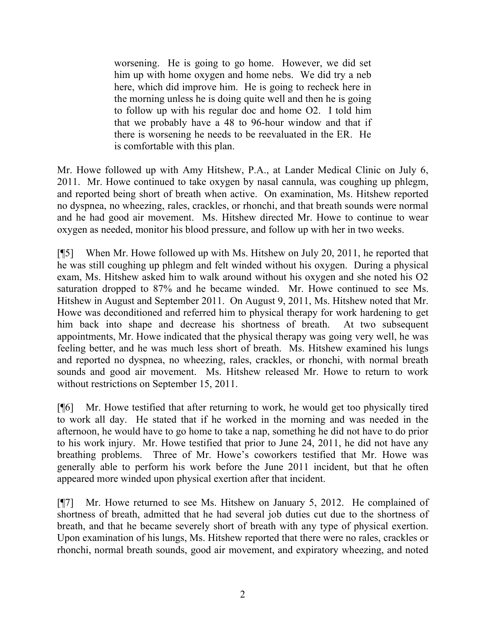worsening. He is going to go home. However, we did set him up with home oxygen and home nebs. We did try a neb here, which did improve him. He is going to recheck here in the morning unless he is doing quite well and then he is going to follow up with his regular doc and home O2. I told him that we probably have a 48 to 96-hour window and that if there is worsening he needs to be reevaluated in the ER. He is comfortable with this plan.

Mr. Howe followed up with Amy Hitshew, P.A., at Lander Medical Clinic on July 6, 2011. Mr. Howe continued to take oxygen by nasal cannula, was coughing up phlegm, and reported being short of breath when active. On examination, Ms. Hitshew reported no dyspnea, no wheezing, rales, crackles, or rhonchi, and that breath sounds were normal and he had good air movement. Ms. Hitshew directed Mr. Howe to continue to wear oxygen as needed, monitor his blood pressure, and follow up with her in two weeks.

[¶5] When Mr. Howe followed up with Ms. Hitshew on July 20, 2011, he reported that he was still coughing up phlegm and felt winded without his oxygen. During a physical exam, Ms. Hitshew asked him to walk around without his oxygen and she noted his O2 saturation dropped to 87% and he became winded. Mr. Howe continued to see Ms. Hitshew in August and September 2011. On August 9, 2011, Ms. Hitshew noted that Mr. Howe was deconditioned and referred him to physical therapy for work hardening to get him back into shape and decrease his shortness of breath. At two subsequent appointments, Mr. Howe indicated that the physical therapy was going very well, he was feeling better, and he was much less short of breath. Ms. Hitshew examined his lungs and reported no dyspnea, no wheezing, rales, crackles, or rhonchi, with normal breath sounds and good air movement. Ms. Hitshew released Mr. Howe to return to work without restrictions on September 15, 2011.

[¶6] Mr. Howe testified that after returning to work, he would get too physically tired to work all day. He stated that if he worked in the morning and was needed in the afternoon, he would have to go home to take a nap, something he did not have to do prior to his work injury. Mr. Howe testified that prior to June 24, 2011, he did not have any breathing problems. Three of Mr. Howe's coworkers testified that Mr. Howe was generally able to perform his work before the June 2011 incident, but that he often appeared more winded upon physical exertion after that incident.

[¶7] Mr. Howe returned to see Ms. Hitshew on January 5, 2012. He complained of shortness of breath, admitted that he had several job duties cut due to the shortness of breath, and that he became severely short of breath with any type of physical exertion. Upon examination of his lungs, Ms. Hitshew reported that there were no rales, crackles or rhonchi, normal breath sounds, good air movement, and expiratory wheezing, and noted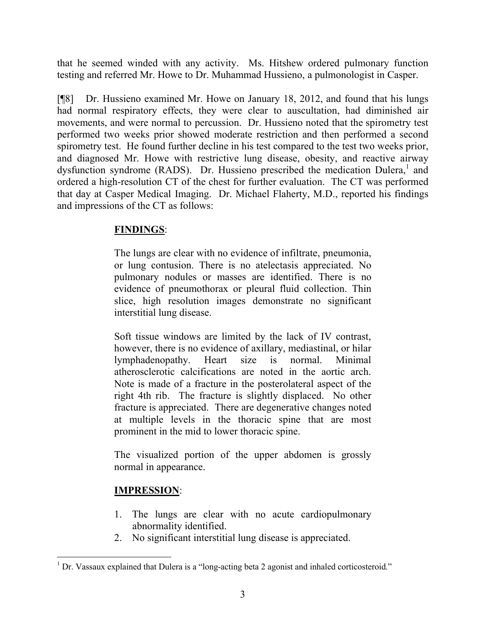that he seemed winded with any activity. Ms. Hitshew ordered pulmonary function testing and referred Mr. Howe to Dr. Muhammad Hussieno, a pulmonologist in Casper.

[¶8] Dr. Hussieno examined Mr. Howe on January 18, 2012, and found that his lungs had normal respiratory effects, they were clear to auscultation, had diminished air movements, and were normal to percussion. Dr. Hussieno noted that the spirometry test performed two weeks prior showed moderate restriction and then performed a second spirometry test. He found further decline in his test compared to the test two weeks prior, and diagnosed Mr. Howe with restrictive lung disease, obesity, and reactive airway dysfunction syndrome (RADS). Dr. Hussieno prescribed the medication Dulera,<sup>1</sup> and ordered a high-resolution CT of the chest for further evaluation. The CT was performed that day at Casper Medical Imaging. Dr. Michael Flaherty, M.D., reported his findings and impressions of the CT as follows:

# **FINDINGS**:

The lungs are clear with no evidence of infiltrate, pneumonia, or lung contusion. There is no atelectasis appreciated. No pulmonary nodules or masses are identified. There is no evidence of pneumothorax or pleural fluid collection. Thin slice, high resolution images demonstrate no significant interstitial lung disease.

Soft tissue windows are limited by the lack of IV contrast, however, there is no evidence of axillary, mediastinal, or hilar lymphadenopathy. Heart size is normal. Minimal atherosclerotic calcifications are noted in the aortic arch. Note is made of a fracture in the posterolateral aspect of the right 4th rib. The fracture is slightly displaced. No other fracture is appreciated. There are degenerative changes noted at multiple levels in the thoracic spine that are most prominent in the mid to lower thoracic spine.

The visualized portion of the upper abdomen is grossly normal in appearance.

# **IMPRESSION**:

- 1. The lungs are clear with no acute cardiopulmonary abnormality identified.
- 2. No significant interstitial lung disease is appreciated.

  $1$  Dr. Vassaux explained that Dulera is a "long-acting beta 2 agonist and inhaled corticosteroid."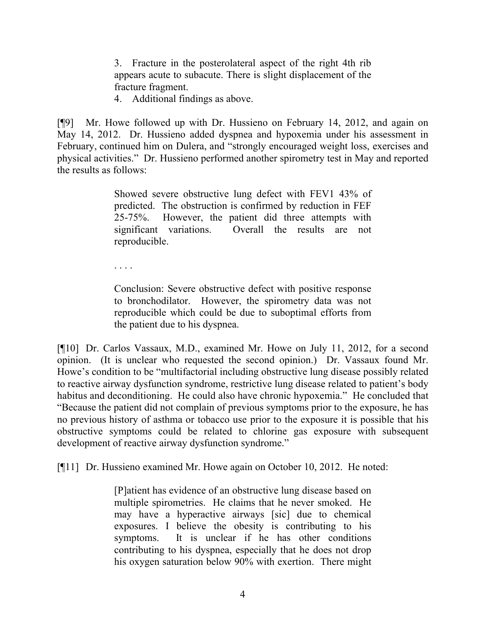3. Fracture in the posterolateral aspect of the right 4th rib appears acute to subacute. There is slight displacement of the fracture fragment.

4. Additional findings as above.

[¶9] Mr. Howe followed up with Dr. Hussieno on February 14, 2012, and again on May 14, 2012. Dr. Hussieno added dyspnea and hypoxemia under his assessment in February, continued him on Dulera, and "strongly encouraged weight loss, exercises and physical activities." Dr. Hussieno performed another spirometry test in May and reported the results as follows:

> Showed severe obstructive lung defect with FEV1 43% of predicted. The obstruction is confirmed by reduction in FEF 25-75%. However, the patient did three attempts with significant variations. Overall the results are not reproducible.

. . . .

Conclusion: Severe obstructive defect with positive response to bronchodilator. However, the spirometry data was not reproducible which could be due to suboptimal efforts from the patient due to his dyspnea.

[¶10] Dr. Carlos Vassaux, M.D., examined Mr. Howe on July 11, 2012, for a second opinion. (It is unclear who requested the second opinion.) Dr. Vassaux found Mr. Howe's condition to be "multifactorial including obstructive lung disease possibly related to reactive airway dysfunction syndrome, restrictive lung disease related to patient's body habitus and deconditioning. He could also have chronic hypoxemia." He concluded that "Because the patient did not complain of previous symptoms prior to the exposure, he has no previous history of asthma or tobacco use prior to the exposure it is possible that his obstructive symptoms could be related to chlorine gas exposure with subsequent development of reactive airway dysfunction syndrome."

[¶11] Dr. Hussieno examined Mr. Howe again on October 10, 2012. He noted:

[P]atient has evidence of an obstructive lung disease based on multiple spirometries. He claims that he never smoked. He may have a hyperactive airways [sic] due to chemical exposures. I believe the obesity is contributing to his symptoms. It is unclear if he has other conditions contributing to his dyspnea, especially that he does not drop his oxygen saturation below 90% with exertion. There might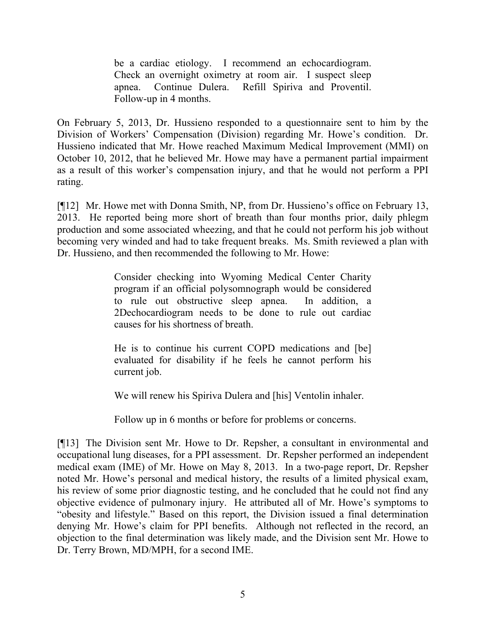be a cardiac etiology. I recommend an echocardiogram. Check an overnight oximetry at room air. I suspect sleep apnea. Continue Dulera. Refill Spiriva and Proventil. Follow-up in 4 months.

On February 5, 2013, Dr. Hussieno responded to a questionnaire sent to him by the Division of Workers' Compensation (Division) regarding Mr. Howe's condition. Dr. Hussieno indicated that Mr. Howe reached Maximum Medical Improvement (MMI) on October 10, 2012, that he believed Mr. Howe may have a permanent partial impairment as a result of this worker's compensation injury, and that he would not perform a PPI rating.

[¶12] Mr. Howe met with Donna Smith, NP, from Dr. Hussieno's office on February 13, 2013. He reported being more short of breath than four months prior, daily phlegm production and some associated wheezing, and that he could not perform his job without becoming very winded and had to take frequent breaks. Ms. Smith reviewed a plan with Dr. Hussieno, and then recommended the following to Mr. Howe:

> Consider checking into Wyoming Medical Center Charity program if an official polysomnograph would be considered to rule out obstructive sleep apnea. In addition, a 2Dechocardiogram needs to be done to rule out cardiac causes for his shortness of breath.

> He is to continue his current COPD medications and [be] evaluated for disability if he feels he cannot perform his current job.

We will renew his Spiriva Dulera and [his] Ventolin inhaler.

Follow up in 6 months or before for problems or concerns.

[¶13] The Division sent Mr. Howe to Dr. Repsher, a consultant in environmental and occupational lung diseases, for a PPI assessment. Dr. Repsher performed an independent medical exam (IME) of Mr. Howe on May 8, 2013. In a two-page report, Dr. Repsher noted Mr. Howe's personal and medical history, the results of a limited physical exam, his review of some prior diagnostic testing, and he concluded that he could not find any objective evidence of pulmonary injury. He attributed all of Mr. Howe's symptoms to "obesity and lifestyle." Based on this report, the Division issued a final determination denying Mr. Howe's claim for PPI benefits. Although not reflected in the record, an objection to the final determination was likely made, and the Division sent Mr. Howe to Dr. Terry Brown, MD/MPH, for a second IME.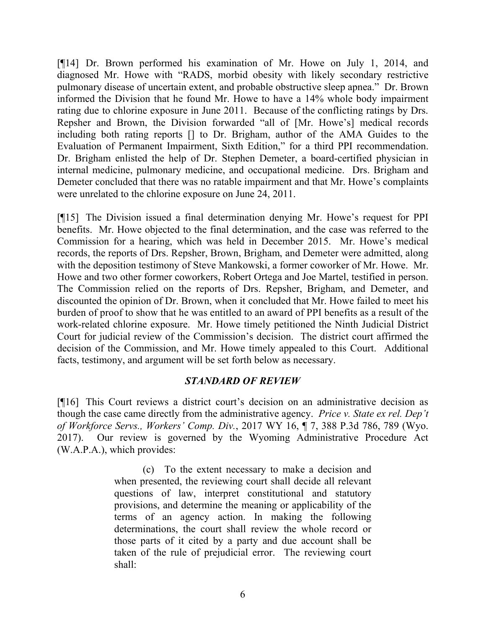[¶14] Dr. Brown performed his examination of Mr. Howe on July 1, 2014, and diagnosed Mr. Howe with "RADS, morbid obesity with likely secondary restrictive pulmonary disease of uncertain extent, and probable obstructive sleep apnea." Dr. Brown informed the Division that he found Mr. Howe to have a 14% whole body impairment rating due to chlorine exposure in June 2011. Because of the conflicting ratings by Drs. Repsher and Brown, the Division forwarded "all of [Mr. Howe's] medical records including both rating reports [] to Dr. Brigham, author of the AMA Guides to the Evaluation of Permanent Impairment, Sixth Edition," for a third PPI recommendation. Dr. Brigham enlisted the help of Dr. Stephen Demeter, a board-certified physician in internal medicine, pulmonary medicine, and occupational medicine. Drs. Brigham and Demeter concluded that there was no ratable impairment and that Mr. Howe's complaints were unrelated to the chlorine exposure on June 24, 2011.

[¶15] The Division issued a final determination denying Mr. Howe's request for PPI benefits. Mr. Howe objected to the final determination, and the case was referred to the Commission for a hearing, which was held in December 2015. Mr. Howe's medical records, the reports of Drs. Repsher, Brown, Brigham, and Demeter were admitted, along with the deposition testimony of Steve Mankowski, a former coworker of Mr. Howe. Mr. Howe and two other former coworkers, Robert Ortega and Joe Martel, testified in person. The Commission relied on the reports of Drs. Repsher, Brigham, and Demeter, and discounted the opinion of Dr. Brown, when it concluded that Mr. Howe failed to meet his burden of proof to show that he was entitled to an award of PPI benefits as a result of the work-related chlorine exposure. Mr. Howe timely petitioned the Ninth Judicial District Court for judicial review of the Commission's decision. The district court affirmed the decision of the Commission, and Mr. Howe timely appealed to this Court. Additional facts, testimony, and argument will be set forth below as necessary.

## *STANDARD OF REVIEW*

[¶16] This Court reviews a district court's decision on an administrative decision as though the case came directly from the administrative agency. *Price v. State ex rel. Dep't of Workforce Servs., Workers' Comp. Div.*, 2017 WY 16, ¶ 7, 388 P.3d 786, 789 (Wyo. 2017). Our review is governed by the Wyoming Administrative Procedure Act (W.A.P.A.), which provides:

> (c) To the extent necessary to make a decision and when presented, the reviewing court shall decide all relevant questions of law, interpret constitutional and statutory provisions, and determine the meaning or applicability of the terms of an agency action. In making the following determinations, the court shall review the whole record or those parts of it cited by a party and due account shall be taken of the rule of prejudicial error. The reviewing court shall: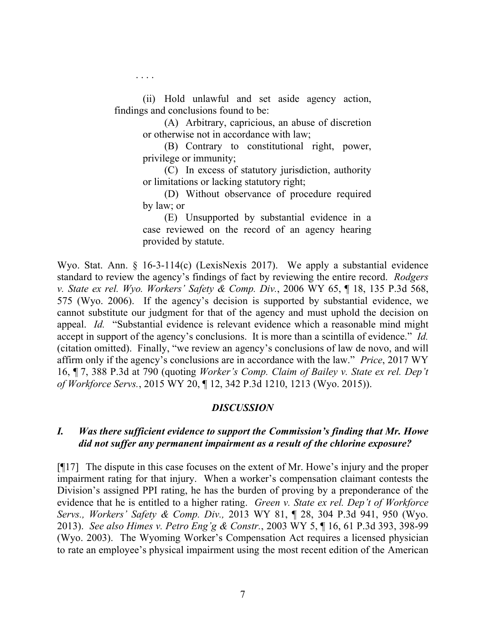. . . .

(ii) Hold unlawful and set aside agency action, findings and conclusions found to be:

> (A) Arbitrary, capricious, an abuse of discretion or otherwise not in accordance with law;

> (B) Contrary to constitutional right, power, privilege or immunity;

> (C) In excess of statutory jurisdiction, authority or limitations or lacking statutory right;

> (D) Without observance of procedure required by law; or

> (E) Unsupported by substantial evidence in a case reviewed on the record of an agency hearing provided by statute.

Wyo. Stat. Ann. § 16-3-114(c) (LexisNexis 2017). We apply a substantial evidence standard to review the agency's findings of fact by reviewing the entire record. *Rodgers v. State ex rel. Wyo. Workers' Safety & Comp. Div.*, 2006 WY 65, ¶ 18, 135 P.3d 568, 575 (Wyo. 2006). If the agency's decision is supported by substantial evidence, we cannot substitute our judgment for that of the agency and must uphold the decision on appeal. *Id.* "Substantial evidence is relevant evidence which a reasonable mind might accept in support of the agency's conclusions. It is more than a scintilla of evidence." *Id.* (citation omitted). Finally, "we review an agency's conclusions of law de novo, and will affirm only if the agency's conclusions are in accordance with the law." *Price*, 2017 WY 16, ¶ 7, 388 P.3d at 790 (quoting *Worker's Comp. Claim of Bailey v. State ex rel. Dep't of Workforce Servs.*, 2015 WY 20, ¶ 12, 342 P.3d 1210, 1213 (Wyo. 2015)).

#### *DISCUSSION*

## *I. Was there sufficient evidence to support the Commission's finding that Mr. Howe did not suffer any permanent impairment as a result of the chlorine exposure?*

[¶17] The dispute in this case focuses on the extent of Mr. Howe's injury and the proper impairment rating for that injury. When a worker's compensation claimant contests the Division's assigned PPI rating, he has the burden of proving by a preponderance of the evidence that he is entitled to a higher rating. *Green v. State ex rel. Dep't of Workforce Servs., Workers' Safety & Comp. Div.,* 2013 WY 81, ¶ 28, 304 P.3d 941, 950 (Wyo. 2013). *See also Himes v. Petro Eng'g & Constr.*, 2003 WY 5, ¶ 16, 61 P.3d 393, 398-99 (Wyo. 2003). The Wyoming Worker's Compensation Act requires a licensed physician to rate an employee's physical impairment using the most recent edition of the American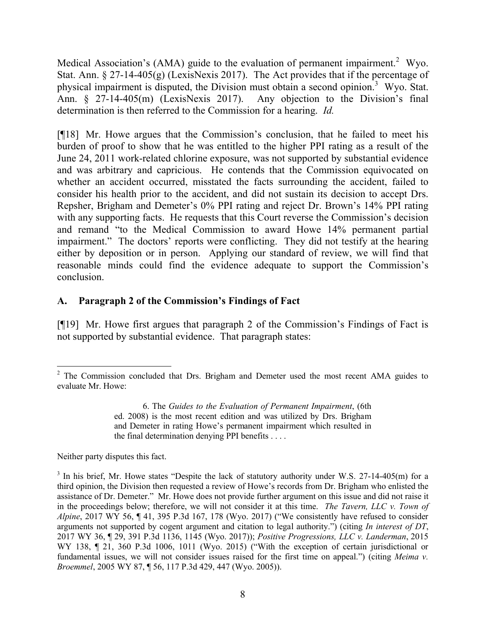Medical Association's (AMA) guide to the evaluation of permanent impairment.<sup>2</sup> Wyo. Stat. Ann. § 27-14-405(g) (LexisNexis 2017). The Act provides that if the percentage of physical impairment is disputed, the Division must obtain a second opinion.<sup>3</sup> Wyo. Stat. Ann. § 27-14-405(m) (LexisNexis 2017). Any objection to the Division's final determination is then referred to the Commission for a hearing. *Id.*

[¶18] Mr. Howe argues that the Commission's conclusion, that he failed to meet his burden of proof to show that he was entitled to the higher PPI rating as a result of the June 24, 2011 work-related chlorine exposure, was not supported by substantial evidence and was arbitrary and capricious. He contends that the Commission equivocated on whether an accident occurred, misstated the facts surrounding the accident, failed to consider his health prior to the accident, and did not sustain its decision to accept Drs. Repsher, Brigham and Demeter's 0% PPI rating and reject Dr. Brown's 14% PPI rating with any supporting facts. He requests that this Court reverse the Commission's decision and remand "to the Medical Commission to award Howe 14% permanent partial impairment." The doctors' reports were conflicting. They did not testify at the hearing either by deposition or in person. Applying our standard of review, we will find that reasonable minds could find the evidence adequate to support the Commission's conclusion.

# **A. Paragraph 2 of the Commission's Findings of Fact**

[¶19] Mr. Howe first argues that paragraph 2 of the Commission's Findings of Fact is not supported by substantial evidence. That paragraph states:

Neither party disputes this fact.

  $2^2$  The Commission concluded that Drs. Brigham and Demeter used the most recent AMA guides to evaluate Mr. Howe:

<sup>6.</sup> The *Guides to the Evaluation of Permanent Impairment*, (6th ed. 2008) is the most recent edition and was utilized by Drs. Brigham and Demeter in rating Howe's permanent impairment which resulted in the final determination denying PPI benefits . . . .

 $3$  In his brief, Mr. Howe states "Despite the lack of statutory authority under W.S. 27-14-405(m) for a third opinion, the Division then requested a review of Howe's records from Dr. Brigham who enlisted the assistance of Dr. Demeter." Mr. Howe does not provide further argument on this issue and did not raise it in the proceedings below; therefore, we will not consider it at this time. *The Tavern, LLC v. Town of Alpine*, 2017 WY 56, ¶ 41, 395 P.3d 167, 178 (Wyo. 2017) ("We consistently have refused to consider arguments not supported by cogent argument and citation to legal authority.") (citing *In interest of DT*, 2017 WY 36, ¶ 29, 391 P.3d 1136, 1145 (Wyo. 2017)); *Positive Progressions, LLC v. Landerman*, 2015 WY 138,  $\P$  21, 360 P.3d 1006, 1011 (Wyo. 2015) ("With the exception of certain jurisdictional or fundamental issues, we will not consider issues raised for the first time on appeal.") (citing *Meima v. Broemmel*, 2005 WY 87, ¶ 56, 117 P.3d 429, 447 (Wyo. 2005)).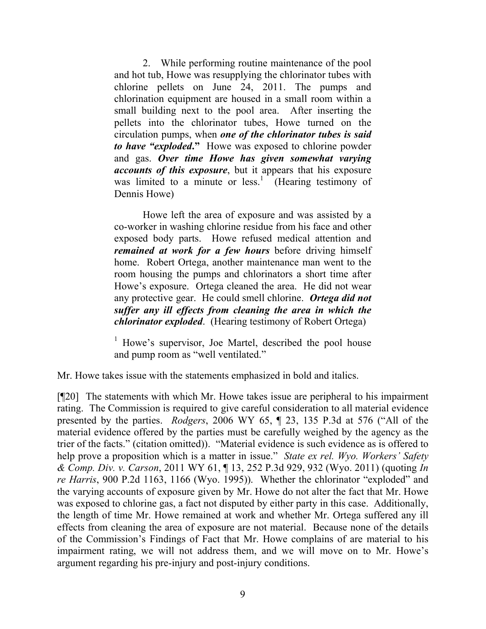2. While performing routine maintenance of the pool and hot tub, Howe was resupplying the chlorinator tubes with chlorine pellets on June 24, 2011. The pumps and chlorination equipment are housed in a small room within a small building next to the pool area. After inserting the pellets into the chlorinator tubes, Howe turned on the circulation pumps, when *one of the chlorinator tubes is said to have "exploded***."** Howe was exposed to chlorine powder and gas. *Over time Howe has given somewhat varying accounts of this exposure*, but it appears that his exposure was limited to a minute or less.<sup>1</sup> (Hearing testimony of Dennis Howe)

Howe left the area of exposure and was assisted by a co-worker in washing chlorine residue from his face and other exposed body parts. Howe refused medical attention and *remained at work for a few hours* before driving himself home. Robert Ortega, another maintenance man went to the room housing the pumps and chlorinators a short time after Howe's exposure. Ortega cleaned the area. He did not wear any protective gear. He could smell chlorine. *Ortega did not suffer any ill effects from cleaning the area in which the chlorinator exploded*. (Hearing testimony of Robert Ortega)

<sup>1</sup> Howe's supervisor, Joe Martel, described the pool house and pump room as "well ventilated."

Mr. Howe takes issue with the statements emphasized in bold and italics.

[¶20] The statements with which Mr. Howe takes issue are peripheral to his impairment rating. The Commission is required to give careful consideration to all material evidence presented by the parties. *Rodgers*, 2006 WY 65, ¶ 23, 135 P.3d at 576 ("All of the material evidence offered by the parties must be carefully weighed by the agency as the trier of the facts." (citation omitted)). "Material evidence is such evidence as is offered to help prove a proposition which is a matter in issue." *State ex rel. Wyo. Workers' Safety & Comp. Div. v. Carson*, 2011 WY 61, ¶ 13, 252 P.3d 929, 932 (Wyo. 2011) (quoting *In re Harris*, 900 P.2d 1163, 1166 (Wyo. 1995)). Whether the chlorinator "exploded" and the varying accounts of exposure given by Mr. Howe do not alter the fact that Mr. Howe was exposed to chlorine gas, a fact not disputed by either party in this case. Additionally, the length of time Mr. Howe remained at work and whether Mr. Ortega suffered any ill effects from cleaning the area of exposure are not material. Because none of the details of the Commission's Findings of Fact that Mr. Howe complains of are material to his impairment rating, we will not address them, and we will move on to Mr. Howe's argument regarding his pre-injury and post-injury conditions.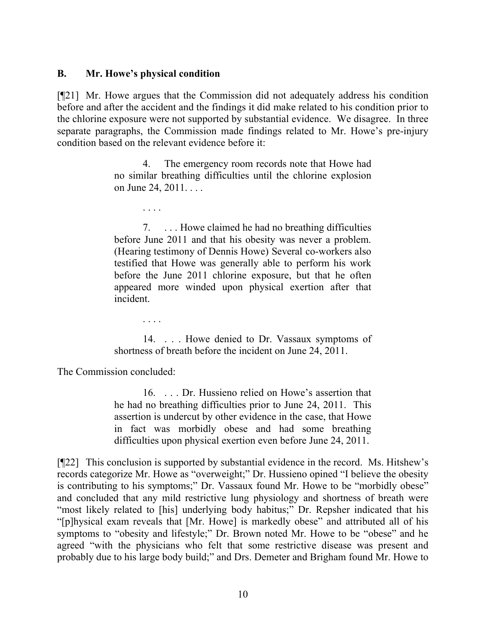### **B. Mr. Howe's physical condition**

. . . .

[¶21] Mr. Howe argues that the Commission did not adequately address his condition before and after the accident and the findings it did make related to his condition prior to the chlorine exposure were not supported by substantial evidence. We disagree. In three separate paragraphs, the Commission made findings related to Mr. Howe's pre-injury condition based on the relevant evidence before it:

> 4. The emergency room records note that Howe had no similar breathing difficulties until the chlorine explosion on June 24, 2011. . . .

> 7. . . . Howe claimed he had no breathing difficulties before June 2011 and that his obesity was never a problem. (Hearing testimony of Dennis Howe) Several co-workers also testified that Howe was generally able to perform his work before the June 2011 chlorine exposure, but that he often appeared more winded upon physical exertion after that incident.

> > . . . .

14. . . . Howe denied to Dr. Vassaux symptoms of shortness of breath before the incident on June 24, 2011.

The Commission concluded:

16. . . . Dr. Hussieno relied on Howe's assertion that he had no breathing difficulties prior to June 24, 2011. This assertion is undercut by other evidence in the case, that Howe in fact was morbidly obese and had some breathing difficulties upon physical exertion even before June 24, 2011.

[¶22] This conclusion is supported by substantial evidence in the record. Ms. Hitshew's records categorize Mr. Howe as "overweight;" Dr. Hussieno opined "I believe the obesity is contributing to his symptoms;" Dr. Vassaux found Mr. Howe to be "morbidly obese" and concluded that any mild restrictive lung physiology and shortness of breath were "most likely related to [his] underlying body habitus;" Dr. Repsher indicated that his "[p]hysical exam reveals that [Mr. Howe] is markedly obese" and attributed all of his symptoms to "obesity and lifestyle;" Dr. Brown noted Mr. Howe to be "obese" and he agreed "with the physicians who felt that some restrictive disease was present and probably due to his large body build;" and Drs. Demeter and Brigham found Mr. Howe to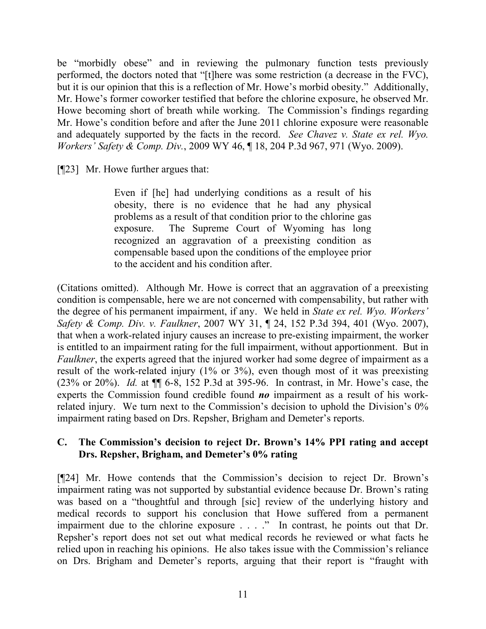be "morbidly obese" and in reviewing the pulmonary function tests previously performed, the doctors noted that "[t]here was some restriction (a decrease in the FVC), but it is our opinion that this is a reflection of Mr. Howe's morbid obesity." Additionally, Mr. Howe's former coworker testified that before the chlorine exposure, he observed Mr. Howe becoming short of breath while working. The Commission's findings regarding Mr. Howe's condition before and after the June 2011 chlorine exposure were reasonable and adequately supported by the facts in the record. *See Chavez v. State ex rel. Wyo. Workers' Safety & Comp. Div.*, 2009 WY 46, ¶ 18, 204 P.3d 967, 971 (Wyo. 2009).

[¶23] Mr. Howe further argues that:

Even if [he] had underlying conditions as a result of his obesity, there is no evidence that he had any physical problems as a result of that condition prior to the chlorine gas exposure. The Supreme Court of Wyoming has long recognized an aggravation of a preexisting condition as compensable based upon the conditions of the employee prior to the accident and his condition after.

(Citations omitted). Although Mr. Howe is correct that an aggravation of a preexisting condition is compensable, here we are not concerned with compensability, but rather with the degree of his permanent impairment, if any. We held in *State ex rel. Wyo. Workers' Safety & Comp. Div. v. Faulkner*, 2007 WY 31, ¶ 24, 152 P.3d 394, 401 (Wyo. 2007), that when a work-related injury causes an increase to pre-existing impairment, the worker is entitled to an impairment rating for the full impairment, without apportionment. But in *Faulkner*, the experts agreed that the injured worker had some degree of impairment as a result of the work-related injury (1% or 3%), even though most of it was preexisting (23% or 20%). *Id.* at ¶¶ 6-8, 152 P.3d at 395-96. In contrast, in Mr. Howe's case, the experts the Commission found credible found *no* impairment as a result of his workrelated injury. We turn next to the Commission's decision to uphold the Division's 0% impairment rating based on Drs. Repsher, Brigham and Demeter's reports.

# **C. The Commission's decision to reject Dr. Brown's 14% PPI rating and accept Drs. Repsher, Brigham, and Demeter's 0% rating**

[¶24] Mr. Howe contends that the Commission's decision to reject Dr. Brown's impairment rating was not supported by substantial evidence because Dr. Brown's rating was based on a "thoughtful and through [sic] review of the underlying history and medical records to support his conclusion that Howe suffered from a permanent impairment due to the chlorine exposure . . . ." In contrast, he points out that Dr. Repsher's report does not set out what medical records he reviewed or what facts he relied upon in reaching his opinions. He also takes issue with the Commission's reliance on Drs. Brigham and Demeter's reports, arguing that their report is "fraught with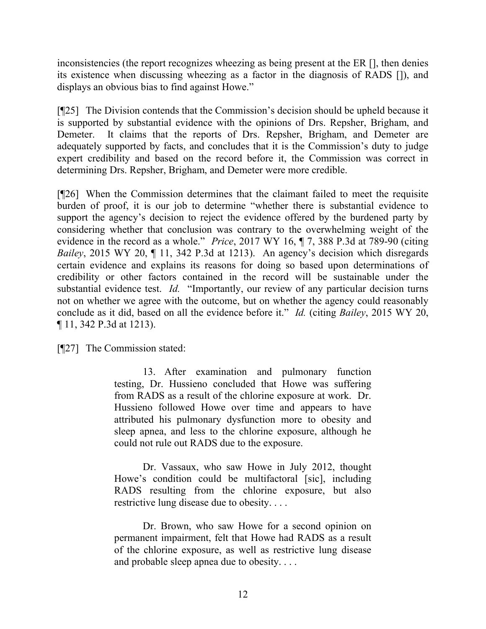inconsistencies (the report recognizes wheezing as being present at the ER [], then denies its existence when discussing wheezing as a factor in the diagnosis of RADS []), and displays an obvious bias to find against Howe."

[¶25] The Division contends that the Commission's decision should be upheld because it is supported by substantial evidence with the opinions of Drs. Repsher, Brigham, and Demeter. It claims that the reports of Drs. Repsher, Brigham, and Demeter are adequately supported by facts, and concludes that it is the Commission's duty to judge expert credibility and based on the record before it, the Commission was correct in determining Drs. Repsher, Brigham, and Demeter were more credible.

[¶26] When the Commission determines that the claimant failed to meet the requisite burden of proof, it is our job to determine "whether there is substantial evidence to support the agency's decision to reject the evidence offered by the burdened party by considering whether that conclusion was contrary to the overwhelming weight of the evidence in the record as a whole." *Price*, 2017 WY 16, ¶ 7, 388 P.3d at 789-90 (citing *Bailey*, 2015 WY 20, ¶ 11, 342 P.3d at 1213).An agency's decision which disregards certain evidence and explains its reasons for doing so based upon determinations of credibility or other factors contained in the record will be sustainable under the substantial evidence test. *Id.* "Importantly, our review of any particular decision turns not on whether we agree with the outcome, but on whether the agency could reasonably conclude as it did, based on all the evidence before it." *Id.* (citing *Bailey*, 2015 WY 20, ¶ 11, 342 P.3d at 1213).

[¶27] The Commission stated:

13. After examination and pulmonary function testing, Dr. Hussieno concluded that Howe was suffering from RADS as a result of the chlorine exposure at work. Dr. Hussieno followed Howe over time and appears to have attributed his pulmonary dysfunction more to obesity and sleep apnea, and less to the chlorine exposure, although he could not rule out RADS due to the exposure.

Dr. Vassaux, who saw Howe in July 2012, thought Howe's condition could be multifactoral [sic], including RADS resulting from the chlorine exposure, but also restrictive lung disease due to obesity. . . .

Dr. Brown, who saw Howe for a second opinion on permanent impairment, felt that Howe had RADS as a result of the chlorine exposure, as well as restrictive lung disease and probable sleep apnea due to obesity. . . .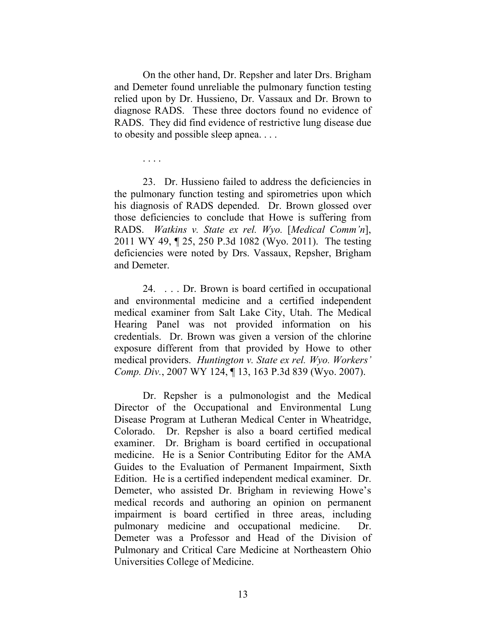On the other hand, Dr. Repsher and later Drs. Brigham and Demeter found unreliable the pulmonary function testing relied upon by Dr. Hussieno, Dr. Vassaux and Dr. Brown to diagnose RADS. These three doctors found no evidence of RADS. They did find evidence of restrictive lung disease due to obesity and possible sleep apnea. . . .

. . . .

23. Dr. Hussieno failed to address the deficiencies in the pulmonary function testing and spirometries upon which his diagnosis of RADS depended. Dr. Brown glossed over those deficiencies to conclude that Howe is suffering from RADS. *Watkins v. State ex rel. Wyo.* [*Medical Comm'n*], 2011 WY 49, ¶ 25, 250 P.3d 1082 (Wyo. 2011). The testing deficiencies were noted by Drs. Vassaux, Repsher, Brigham and Demeter.

24. . . . Dr. Brown is board certified in occupational and environmental medicine and a certified independent medical examiner from Salt Lake City, Utah. The Medical Hearing Panel was not provided information on his credentials. Dr. Brown was given a version of the chlorine exposure different from that provided by Howe to other medical providers. *Huntington v. State ex rel. Wyo. Workers' Comp. Div.*, 2007 WY 124, ¶ 13, 163 P.3d 839 (Wyo. 2007).

Dr. Repsher is a pulmonologist and the Medical Director of the Occupational and Environmental Lung Disease Program at Lutheran Medical Center in Wheatridge, Colorado. Dr. Repsher is also a board certified medical examiner. Dr. Brigham is board certified in occupational medicine. He is a Senior Contributing Editor for the AMA Guides to the Evaluation of Permanent Impairment, Sixth Edition. He is a certified independent medical examiner. Dr. Demeter, who assisted Dr. Brigham in reviewing Howe's medical records and authoring an opinion on permanent impairment is board certified in three areas, including pulmonary medicine and occupational medicine. Dr. Demeter was a Professor and Head of the Division of Pulmonary and Critical Care Medicine at Northeastern Ohio Universities College of Medicine.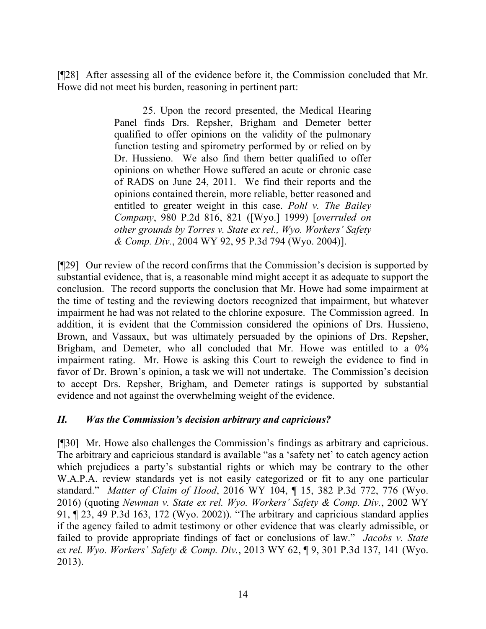[¶28] After assessing all of the evidence before it, the Commission concluded that Mr. Howe did not meet his burden, reasoning in pertinent part:

> 25. Upon the record presented, the Medical Hearing Panel finds Drs. Repsher, Brigham and Demeter better qualified to offer opinions on the validity of the pulmonary function testing and spirometry performed by or relied on by Dr. Hussieno. We also find them better qualified to offer opinions on whether Howe suffered an acute or chronic case of RADS on June 24, 2011. We find their reports and the opinions contained therein, more reliable, better reasoned and entitled to greater weight in this case. *Pohl v. The Bailey Company*, 980 P.2d 816, 821 ([Wyo.] 1999) [*overruled on other grounds by Torres v. State ex rel., Wyo. Workers' Safety & Comp. Div.*, 2004 WY 92, 95 P.3d 794 (Wyo. 2004)].

[¶29] Our review of the record confirms that the Commission's decision is supported by substantial evidence, that is, a reasonable mind might accept it as adequate to support the conclusion. The record supports the conclusion that Mr. Howe had some impairment at the time of testing and the reviewing doctors recognized that impairment, but whatever impairment he had was not related to the chlorine exposure. The Commission agreed. In addition, it is evident that the Commission considered the opinions of Drs. Hussieno, Brown, and Vassaux, but was ultimately persuaded by the opinions of Drs. Repsher, Brigham, and Demeter, who all concluded that Mr. Howe was entitled to a 0% impairment rating. Mr. Howe is asking this Court to reweigh the evidence to find in favor of Dr. Brown's opinion, a task we will not undertake. The Commission's decision to accept Drs. Repsher, Brigham, and Demeter ratings is supported by substantial evidence and not against the overwhelming weight of the evidence.

## *II. Was the Commission's decision arbitrary and capricious?*

[¶30] Mr. Howe also challenges the Commission's findings as arbitrary and capricious. The arbitrary and capricious standard is available "as a 'safety net' to catch agency action which prejudices a party's substantial rights or which may be contrary to the other W.A.P.A. review standards yet is not easily categorized or fit to any one particular standard." *Matter of Claim of Hood*, 2016 WY 104, ¶ 15, 382 P.3d 772, 776 (Wyo. 2016) (quoting *Newman v. State ex rel. Wyo. Workers' Safety & Comp. Div.*, 2002 WY 91, ¶ 23, 49 P.3d 163, 172 (Wyo. 2002)). "The arbitrary and capricious standard applies if the agency failed to admit testimony or other evidence that was clearly admissible, or failed to provide appropriate findings of fact or conclusions of law." *Jacobs v. State ex rel. Wyo. Workers' Safety & Comp. Div.*, 2013 WY 62, ¶ 9, 301 P.3d 137, 141 (Wyo. 2013).